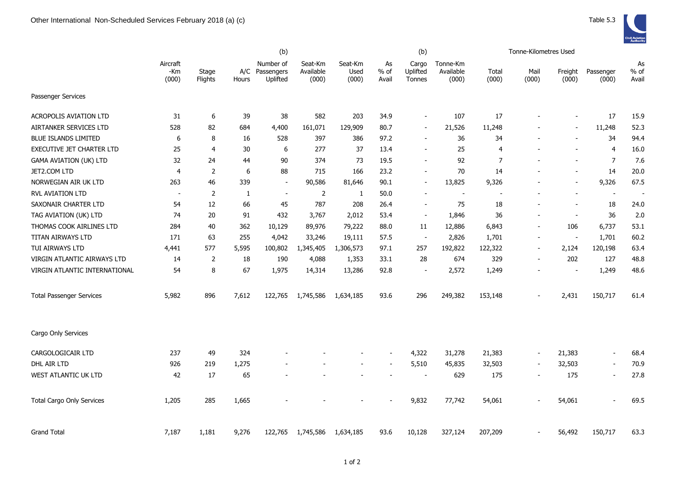|                                  |                            |                  |              | (b)                                     |                               |                          |                       | (b)                         |                                |                | Tonne-Kilometres Used    |                  |                          |                       |
|----------------------------------|----------------------------|------------------|--------------|-----------------------------------------|-------------------------------|--------------------------|-----------------------|-----------------------------|--------------------------------|----------------|--------------------------|------------------|--------------------------|-----------------------|
|                                  | Aircraft<br>$-Km$<br>(000) | Stage<br>Flights | Hours        | Number of<br>A/C Passengers<br>Uplifted | Seat-Km<br>Available<br>(000) | Seat-Km<br>Used<br>(000) | As<br>$%$ of<br>Avail | Cargo<br>Uplifted<br>Tonnes | Tonne-Km<br>Available<br>(000) | Total<br>(000) | Mail<br>(000)            | Freight<br>(000) | Passenger<br>(000)       | As<br>$%$ of<br>Avail |
| Passenger Services               |                            |                  |              |                                         |                               |                          |                       |                             |                                |                |                          |                  |                          |                       |
| <b>ACROPOLIS AVIATION LTD</b>    | 31                         | 6                | 39           | 38                                      | 582                           | 203                      | 34.9                  | $\sim$                      | 107                            | 17             |                          |                  | 17                       | 15.9                  |
| AIRTANKER SERVICES LTD           | 528                        | 82               | 684          | 4,400                                   | 161,071                       | 129,909                  | 80.7                  |                             | 21,526                         | 11,248         |                          |                  | 11,248                   | 52.3                  |
| <b>BLUE ISLANDS LIMITED</b>      | 6                          | 8                | 16           | 528                                     | 397                           | 386                      | 97.2                  | $\sim$                      | 36                             | 34             | $\blacksquare$           | $\sim$           | 34                       | 94.4                  |
| EXECUTIVE JET CHARTER LTD        | 25                         | $\overline{4}$   | 30           | 6                                       | 277                           | 37                       | 13.4                  |                             | 25                             | 4              |                          |                  | $\overline{4}$           | 16.0                  |
| <b>GAMA AVIATION (UK) LTD</b>    | 32                         | 24               | 44           | 90                                      | 374                           | 73                       | 19.5                  |                             | 92                             | $\overline{7}$ |                          |                  | $\overline{7}$           | 7.6                   |
| JET2.COM LTD                     | 4                          | $\overline{2}$   | 6            | 88                                      | 715                           | 166                      | 23.2                  |                             | 70                             | 14             |                          |                  | 14                       | 20.0                  |
| NORWEGIAN AIR UK LTD             | 263                        | 46               | 339          | $\overline{\phantom{a}}$                | 90,586                        | 81,646                   | 90.1                  |                             | 13,825                         | 9,326          |                          |                  | 9,326                    | 67.5                  |
| RVL AVIATION LTD                 | $\blacksquare$             | $\overline{2}$   | $\mathbf{1}$ | $\blacksquare$                          | 2                             | 1                        | 50.0                  |                             | $\overline{\phantom{a}}$       |                |                          |                  | $\overline{\phantom{a}}$ |                       |
| SAXONAIR CHARTER LTD             | 54                         | 12               | 66           | 45                                      | 787                           | 208                      | 26.4                  |                             | 75                             | 18             |                          | $\sim$           | 18                       | 24.0                  |
| TAG AVIATION (UK) LTD            | 74                         | 20               | 91           | 432                                     | 3,767                         | 2,012                    | 53.4                  | $\overline{\phantom{a}}$    | 1,846                          | 36             | $\overline{\phantom{a}}$ | $\blacksquare$   | 36                       | 2.0                   |
| THOMAS COOK AIRLINES LTD         | 284                        | 40               | 362          | 10,129                                  | 89,976                        | 79,222                   | 88.0                  | 11                          | 12,886                         | 6,843          |                          | 106              | 6,737                    | 53.1                  |
| TITAN AIRWAYS LTD                | 171                        | 63               | 255          | 4,042                                   | 33,246                        | 19,111                   | 57.5                  | $\sim$                      | 2,826                          | 1,701          | $\blacksquare$           | $\blacksquare$   | 1,701                    | 60.2                  |
| TUI AIRWAYS LTD                  | 4,441                      | 577              | 5,595        | 100,802                                 | 1,345,405                     | 1,306,573                | 97.1                  | 257                         | 192,822                        | 122,322        | $\overline{\phantom{a}}$ | 2,124            | 120,198                  | 63.4                  |
| VIRGIN ATLANTIC AIRWAYS LTD      | 14                         | 2                | 18           | 190                                     | 4,088                         | 1,353                    | 33.1                  | 28                          | 674                            | 329            |                          | 202              | 127                      | 48.8                  |
| VIRGIN ATLANTIC INTERNATIONAL    | 54                         | 8                | 67           | 1,975                                   | 14,314                        | 13,286                   | 92.8                  |                             | 2,572                          | 1,249          |                          |                  | 1,249                    | 48.6                  |
| <b>Total Passenger Services</b>  | 5,982                      | 896              | 7,612        | 122,765                                 | 1,745,586                     | 1,634,185                | 93.6                  | 296                         | 249,382                        | 153,148        |                          | 2,431            | 150,717                  | 61.4                  |
| Cargo Only Services              |                            |                  |              |                                         |                               |                          |                       |                             |                                |                |                          |                  |                          |                       |
| CARGOLOGICAIR LTD                | 237                        | 49               | 324          |                                         |                               |                          |                       | 4,322                       | 31,278                         | 21,383         | $\overline{\phantom{a}}$ | 21,383           | $\overline{\phantom{a}}$ | 68.4                  |
| DHL AIR LTD                      | 926                        | 219              | 1,275        |                                         |                               |                          |                       | 5,510                       | 45,835                         | 32,503         | $\overline{\phantom{a}}$ | 32,503           | $\overline{\phantom{0}}$ | 70.9                  |
| WEST ATLANTIC UK LTD             | 42                         | 17               | 65           |                                         |                               |                          |                       |                             | 629                            | 175            | $\blacksquare$           | 175              | $\blacksquare$           | 27.8                  |
| <b>Total Cargo Only Services</b> | 1,205                      | 285              | 1,665        |                                         |                               |                          |                       | 9,832                       | 77,742                         | 54,061         |                          | 54,061           |                          | 69.5                  |
| <b>Grand Total</b>               | 7,187                      | 1,181            | 9,276        | 122,765                                 | 1,745,586                     | 1,634,185                | 93.6                  | 10,128                      | 327,124                        | 207,209        |                          | 56,492           | 150,717                  | 63.3                  |